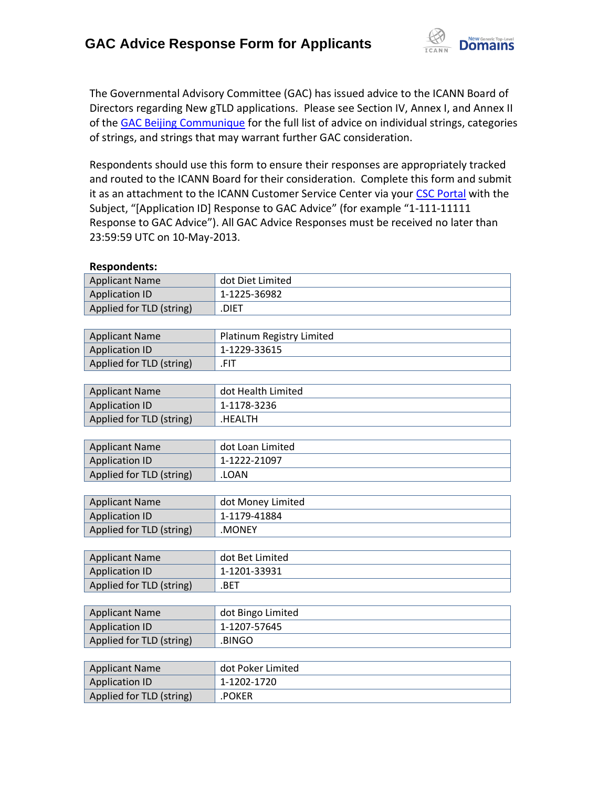

The Governmental Advisory Committee (GAC) has issued advice to the ICANN Board of Directors regarding New gTLD applications. Please see Section IV, Annex I, and Annex II of the [GAC Beijing Communique](http://www.icann.org/en/news/correspondence/gac-to-board-18apr13-en.pdf) for the full list of advice on individual strings, categories of strings, and strings that may warrant further GAC consideration.

Respondents should use this form to ensure their responses are appropriately tracked and routed to the ICANN Board for their consideration. Complete this form and submit it as an attachment to the ICANN Customer Service Center via your CSC [Portal](https://myicann.secure.force.com/) with the Subject, "[Application ID] Response to GAC Advice" (for example "1-111-11111 Response to GAC Advice"). All GAC Advice Responses must be received no later than 23:59:59 UTC on 10-May-2013.

| Applicant Name           | dot Diet Limited |
|--------------------------|------------------|
| Application ID           | 1-1225-36982     |
| Applied for TLD (string) | <b>DIET</b>      |
|                          |                  |

| <b>Applicant Name</b>    | Platinum Registry Limited |
|--------------------------|---------------------------|
| Application ID           | 1-1229-33615              |
| Applied for TLD (string) | .FIT                      |

| <b>Applicant Name</b>    | dot Health Limited |
|--------------------------|--------------------|
| <b>Application ID</b>    | 1-1178-3236        |
| Applied for TLD (string) | .HEALTH            |

| <b>Applicant Name</b>    | dot Loan Limited |
|--------------------------|------------------|
| <b>Application ID</b>    | 1-1222-21097     |
| Applied for TLD (string) | LOAN.            |

| <b>Applicant Name</b>    | dot Money Limited |
|--------------------------|-------------------|
| Application ID           | 1-1179-41884      |
| Applied for TLD (string) | .MONEY            |

| <b>Applicant Name</b>    | dot Bet Limited |
|--------------------------|-----------------|
| Application ID           | 1-1201-33931    |
| Applied for TLD (string) | .BET            |

| <b>Applicant Name</b>    | dot Bingo Limited |
|--------------------------|-------------------|
| <b>Application ID</b>    | 1-1207-57645      |
| Applied for TLD (string) | .BINGO            |

| <b>Applicant Name</b>    | dot Poker Limited |
|--------------------------|-------------------|
| <b>Application ID</b>    | 1-1202-1720       |
| Applied for TLD (string) | .POKER            |

#### **Respondents:**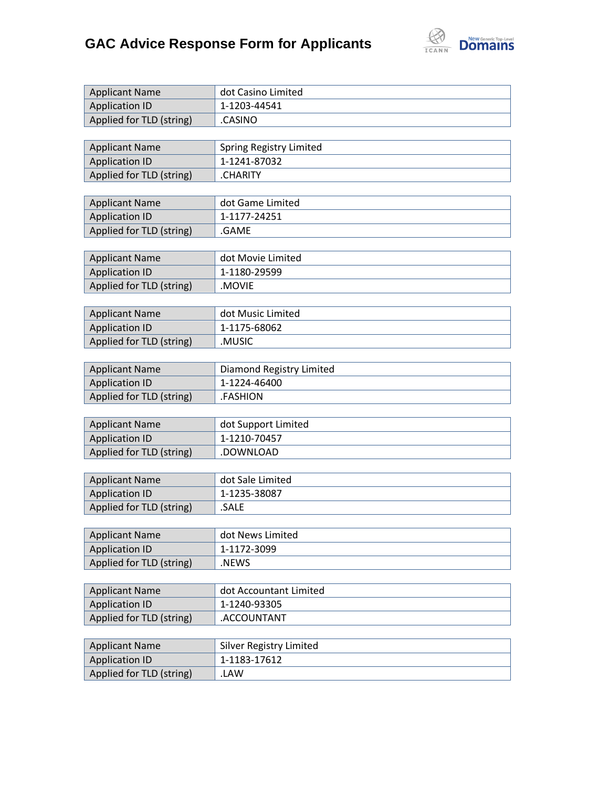

| <b>Applicant Name</b>    | dot Casino Limited             |
|--------------------------|--------------------------------|
| <b>Application ID</b>    | 1-1203-44541                   |
| Applied for TLD (string) | .CASINO                        |
|                          |                                |
| <b>Applicant Name</b>    | <b>Spring Registry Limited</b> |
| <b>Application ID</b>    | 1-1241-87032                   |
| Applied for TLD (string) | .CHARITY                       |
|                          |                                |
| <b>Applicant Name</b>    | dot Game Limited               |
| <b>Application ID</b>    | 1-1177-24251                   |
| Applied for TLD (string) | .GAME                          |
|                          |                                |
| <b>Applicant Name</b>    | dot Movie Limited              |
| <b>Application ID</b>    | 1-1180-29599                   |
| Applied for TLD (string) | .MOVIE                         |
|                          |                                |
| <b>Applicant Name</b>    | dot Music Limited              |
| <b>Application ID</b>    | 1-1175-68062                   |
| Applied for TLD (string) | .MUSIC                         |
|                          |                                |
| <b>Applicant Name</b>    | Diamond Registry Limited       |
| <b>Application ID</b>    | 1-1224-46400                   |
| Applied for TLD (string) | .FASHION                       |
|                          |                                |
| <b>Applicant Name</b>    | dot Support Limited            |
| <b>Application ID</b>    | 1-1210-70457                   |
| Applied for TLD (string) | .DOWNLOAD                      |
|                          |                                |
| <b>Applicant Name</b>    | dot Sale Limited               |
| <b>Application ID</b>    | 1-1235-38087                   |
| Applied for TLD (string) | .SALE                          |
|                          |                                |
| <b>Applicant Name</b>    | dot News Limited               |
| <b>Application ID</b>    | 1-1172-3099                    |
| Applied for TLD (string) | .NEWS                          |
|                          |                                |
| <b>Applicant Name</b>    | dot Accountant Limited         |
| <b>Application ID</b>    | 1-1240-93305                   |
| Applied for TLD (string) | .ACCOUNTANT                    |
|                          |                                |
| <b>Applicant Name</b>    | <b>Silver Registry Limited</b> |
| <b>Application ID</b>    | 1-1183-17612                   |
| Applied for TLD (string) | .LAW                           |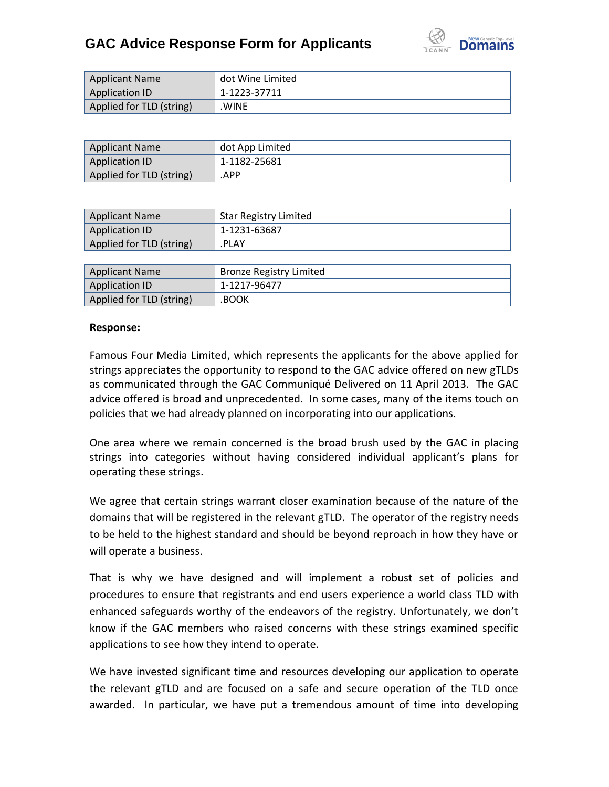

| <b>Applicant Name</b>    | dot Wine Limited |
|--------------------------|------------------|
| <b>Application ID</b>    | 1-1223-37711     |
| Applied for TLD (string) | <b>WINE</b>      |

| <b>Applicant Name</b>    | dot App Limited |
|--------------------------|-----------------|
| Application ID           | 1-1182-25681    |
| Applied for TLD (string) | .APP            |

| Application ID<br>1-1231-63687    |  |
|-----------------------------------|--|
|                                   |  |
| Applied for TLD (string)<br>.PLAY |  |

| <b>Applicant Name</b>    | Bronze Registry Limited |
|--------------------------|-------------------------|
| Application ID           | 1-1217-96477            |
| Applied for TLD (string) | .BOOK                   |

### **Response:**

Famous Four Media Limited, which represents the applicants for the above applied for strings appreciates the opportunity to respond to the GAC advice offered on new gTLDs as communicated through the GAC Communiqué Delivered on 11 April 2013. The GAC advice offered is broad and unprecedented. In some cases, many of the items touch on policies that we had already planned on incorporating into our applications.

One area where we remain concerned is the broad brush used by the GAC in placing strings into categories without having considered individual applicant's plans for operating these strings.

We agree that certain strings warrant closer examination because of the nature of the domains that will be registered in the relevant gTLD. The operator of the registry needs to be held to the highest standard and should be beyond reproach in how they have or will operate a business.

That is why we have designed and will implement a robust set of policies and procedures to ensure that registrants and end users experience a world class TLD with enhanced safeguards worthy of the endeavors of the registry. Unfortunately, we don't know if the GAC members who raised concerns with these strings examined specific applications to see how they intend to operate.

We have invested significant time and resources developing our application to operate the relevant gTLD and are focused on a safe and secure operation of the TLD once awarded. In particular, we have put a tremendous amount of time into developing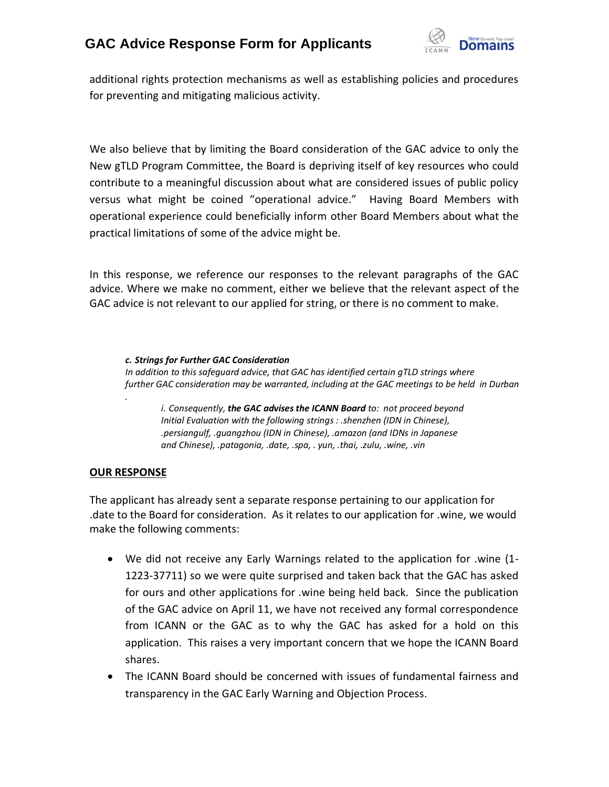

additional rights protection mechanisms as well as establishing policies and procedures for preventing and mitigating malicious activity.

We also believe that by limiting the Board consideration of the GAC advice to only the New gTLD Program Committee, the Board is depriving itself of key resources who could contribute to a meaningful discussion about what are considered issues of public policy versus what might be coined "operational advice." Having Board Members with operational experience could beneficially inform other Board Members about what the practical limitations of some of the advice might be.

In this response, we reference our responses to the relevant paragraphs of the GAC advice. Where we make no comment, either we believe that the relevant aspect of the GAC advice is not relevant to our applied for string, or there is no comment to make.

*c. Strings for Further GAC Consideration In addition to this safeguard advice, that GAC has identified certain gTLD strings where further GAC consideration may be warranted, including at the GAC meetings to be held in Durban .*

*i. Consequently, the GAC advises the ICANN Board to: not proceed beyond Initial Evaluation with the following strings : .shenzhen (IDN in Chinese), .persiangulf, .guangzhou (IDN in Chinese), .amazon (and IDNs in Japanese and Chinese), .patagonia, .date, .spa, . yun, .thai, .zulu, .wine, .vin*

### **OUR RESPONSE**

The applicant has already sent a separate response pertaining to our application for .date to the Board for consideration. As it relates to our application for .wine, we would make the following comments:

- We did not receive any Early Warnings related to the application for .wine (1- 1223-37711) so we were quite surprised and taken back that the GAC has asked for ours and other applications for .wine being held back. Since the publication of the GAC advice on April 11, we have not received any formal correspondence from ICANN or the GAC as to why the GAC has asked for a hold on this application. This raises a very important concern that we hope the ICANN Board shares.
- The ICANN Board should be concerned with issues of fundamental fairness and transparency in the GAC Early Warning and Objection Process.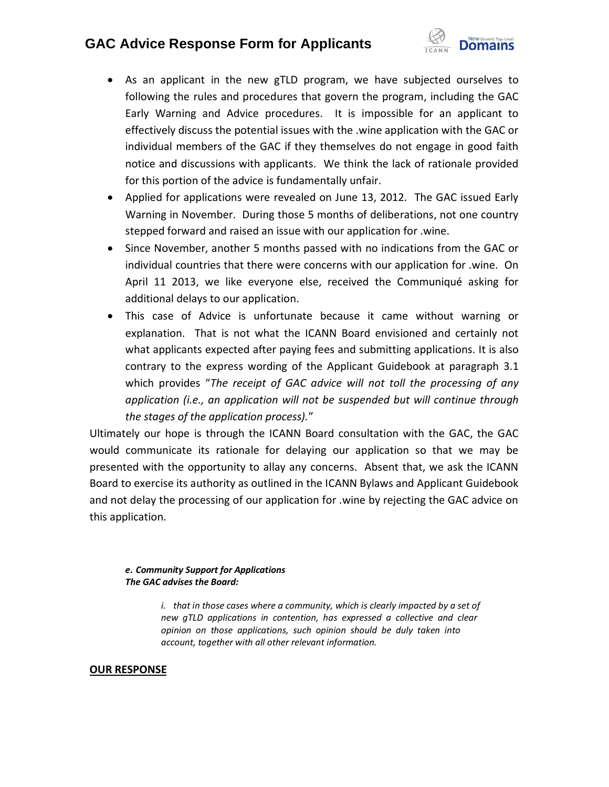

- As an applicant in the new gTLD program, we have subjected ourselves to following the rules and procedures that govern the program, including the GAC Early Warning and Advice procedures. It is impossible for an applicant to effectively discuss the potential issues with the .wine application with the GAC or individual members of the GAC if they themselves do not engage in good faith notice and discussions with applicants. We think the lack of rationale provided for this portion of the advice is fundamentally unfair.
- Applied for applications were revealed on June 13, 2012. The GAC issued Early Warning in November. During those 5 months of deliberations, not one country stepped forward and raised an issue with our application for .wine.
- Since November, another 5 months passed with no indications from the GAC or individual countries that there were concerns with our application for .wine. On April 11 2013, we like everyone else, received the Communiqué asking for additional delays to our application.
- This case of Advice is unfortunate because it came without warning or explanation. That is not what the ICANN Board envisioned and certainly not what applicants expected after paying fees and submitting applications. It is also contrary to the express wording of the Applicant Guidebook at paragraph 3.1 which provides "*The receipt of GAC advice will not toll the processing of any application (i.e., an application will not be suspended but will continue through the stages of the application process).*"

Ultimately our hope is through the ICANN Board consultation with the GAC, the GAC would communicate its rationale for delaying our application so that we may be presented with the opportunity to allay any concerns. Absent that, we ask the ICANN Board to exercise its authority as outlined in the ICANN Bylaws and Applicant Guidebook and not delay the processing of our application for .wine by rejecting the GAC advice on this application.

### *e. Community Support for Applications The GAC advises the Board:*

*i. that in those cases where a community, which is clearly impacted by a set of new gTLD applications in contention, has expressed a collective and clear opinion on those applications, such opinion should be duly taken into account, together with all other relevant information.*

### **OUR RESPONSE**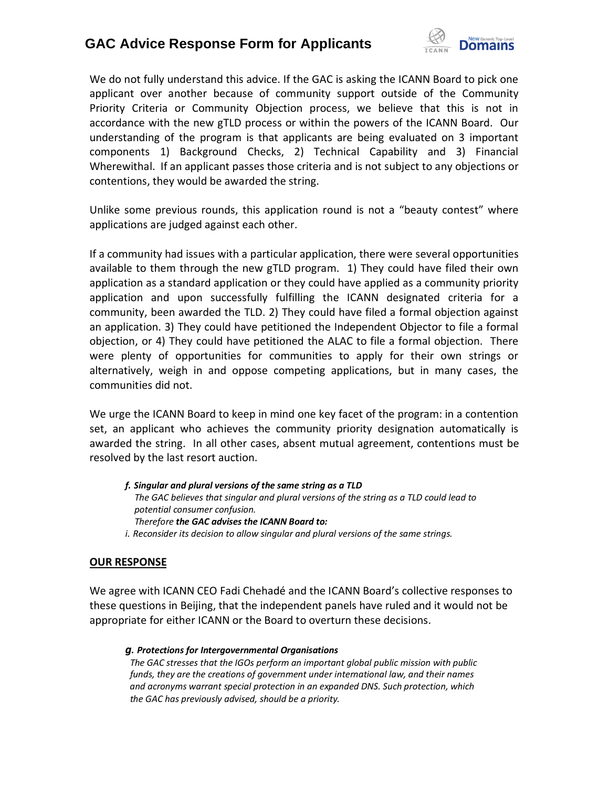

We do not fully understand this advice. If the GAC is asking the ICANN Board to pick one applicant over another because of community support outside of the Community Priority Criteria or Community Objection process, we believe that this is not in accordance with the new gTLD process or within the powers of the ICANN Board. Our understanding of the program is that applicants are being evaluated on 3 important components 1) Background Checks, 2) Technical Capability and 3) Financial Wherewithal. If an applicant passes those criteria and is not subject to any objections or contentions, they would be awarded the string.

Unlike some previous rounds, this application round is not a "beauty contest" where applications are judged against each other.

If a community had issues with a particular application, there were several opportunities available to them through the new gTLD program. 1) They could have filed their own application as a standard application or they could have applied as a community priority application and upon successfully fulfilling the ICANN designated criteria for a community, been awarded the TLD. 2) They could have filed a formal objection against an application. 3) They could have petitioned the Independent Objector to file a formal objection, or 4) They could have petitioned the ALAC to file a formal objection. There were plenty of opportunities for communities to apply for their own strings or alternatively, weigh in and oppose competing applications, but in many cases, the communities did not.

We urge the ICANN Board to keep in mind one key facet of the program: in a contention set, an applicant who achieves the community priority designation automatically is awarded the string. In all other cases, absent mutual agreement, contentions must be resolved by the last resort auction.

*f. Singular and plural versions of the same string as a TLD The GAC believes that singular and plural versions of the string as a TLD could lead to potential consumer confusion. Therefore the GAC advises the ICANN Board to: i. Reconsider its decision to allow singular and plural versions of the same strings.*

### **OUR RESPONSE**

We agree with ICANN CEO Fadi Chehadé and the ICANN Board's collective responses to these questions in Beijing, that the independent panels have ruled and it would not be appropriate for either ICANN or the Board to overturn these decisions.

#### *g. Protections for Intergovernmental Organisations*

*The GAC stresses that the IGOs perform an important global public mission with public funds, they are the creations of government under international law, and their names and acronyms warrant special protection in an expanded DNS. Such protection, which the GAC has previously advised, should be a priority.*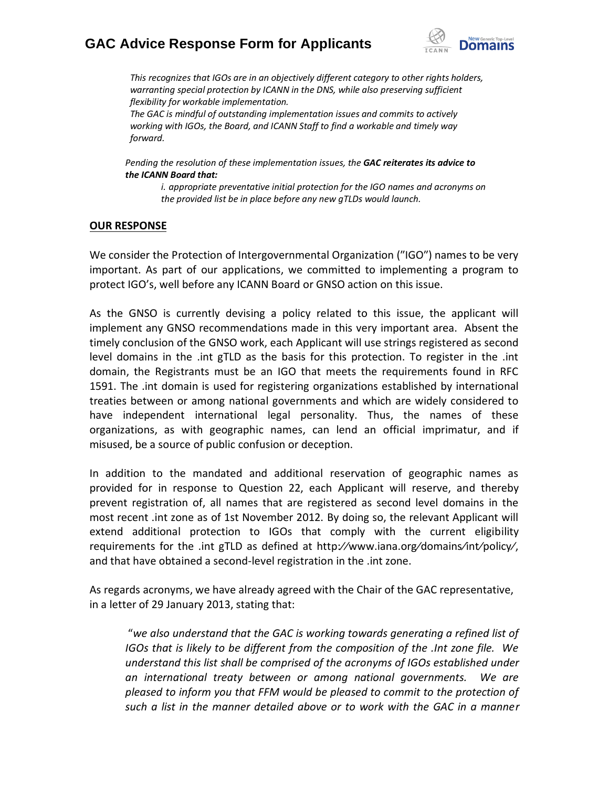

*This recognizes that IGOs are in an objectively different category to other rights holders, warranting special protection by ICANN in the DNS, while also preserving sufficient flexibility for workable implementation.*

*The GAC is mindful of outstanding implementation issues and commits to actively working with IGOs, the Board, and ICANN Staff to find a workable and timely way forward.*

*Pending the resolution of these implementation issues, the GAC reiterates its advice to the ICANN Board that:*

*i. appropriate preventative initial protection for the IGO names and acronyms on the provided list be in place before any new gTLDs would launch.*

### **OUR RESPONSE**

We consider the Protection of Intergovernmental Organization ("IGO") names to be very important. As part of our applications, we committed to implementing a program to protect IGO's, well before any ICANN Board or GNSO action on this issue.

As the GNSO is currently devising a policy related to this issue, the applicant will implement any GNSO recommendations made in this very important area. Absent the timely conclusion of the GNSO work, each Applicant will use strings registered as second level domains in the .int gTLD as the basis for this protection. To register in the .int domain, the Registrants must be an IGO that meets the requirements found in RFC 1591. The .int domain is used for registering organizations established by international treaties between or among national governments and which are widely considered to have independent international legal personality. Thus, the names of these organizations, as with geographic names, can lend an official imprimatur, and if misused, be a source of public confusion or deception.

In addition to the mandated and additional reservation of geographic names as provided for in response to Question 22, each Applicant will reserve, and thereby prevent registration of, all names that are registered as second level domains in the most recent .int zone as of 1st November 2012. By doing so, the relevant Applicant will extend additional protection to IGOs that comply with the current eligibility requirements for the .int gTLD as defined at http:⁄⁄www.iana.org⁄domains⁄int⁄policy⁄, and that have obtained a second-level registration in the .int zone.

As regards acronyms, we have already agreed with the Chair of the GAC representative, in a letter of 29 January 2013, stating that:

"*we also understand that the GAC is working towards generating a refined list of IGOs that is likely to be different from the composition of the .Int zone file. We understand this list shall be comprised of the acronyms of IGOs established under an international treaty between or among national governments. We are pleased to inform you that FFM would be pleased to commit to the protection of such a list in the manner detailed above or to work with the GAC in a manner*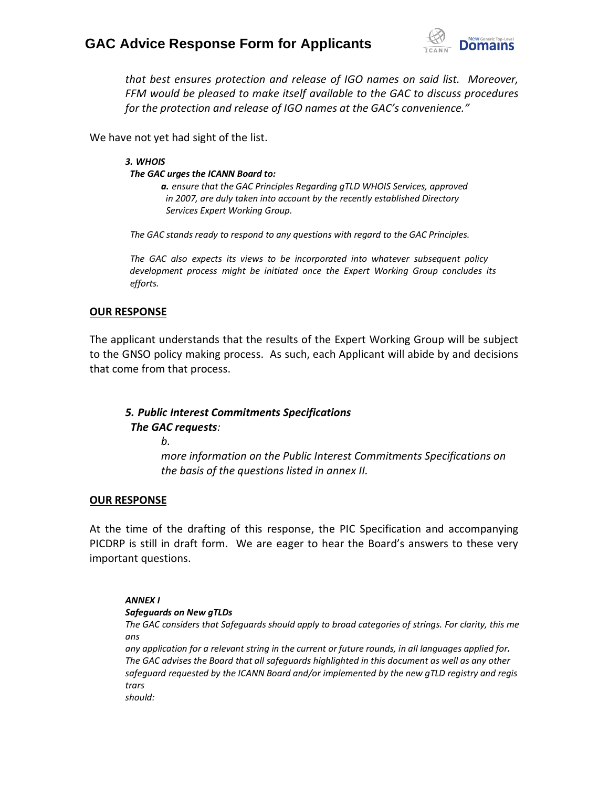

*that best ensures protection and release of IGO names on said list. Moreover, FFM would be pleased to make itself available to the GAC to discuss procedures for the protection and release of IGO names at the GAC's convenience."*

We have not yet had sight of the list.

*3. WHOIS The GAC urges the ICANN Board to: a. ensure that the GAC Principles Regarding gTLD WHOIS Services, approved*

*in 2007, are duly taken into account by the recently established Directory Services Expert Working Group.*

*The GAC stands ready to respond to any questions with regard to the GAC Principles.*

*The GAC also expects its views to be incorporated into whatever subsequent policy development process might be initiated once the Expert Working Group concludes its efforts.*

### **OUR RESPONSE**

The applicant understands that the results of the Expert Working Group will be subject to the GNSO policy making process. As such, each Applicant will abide by and decisions that come from that process.

### *5. Public Interest Commitments Specifications The GAC requests:*

*b.*

*more information on the Public Interest Commitments Specifications on the basis of the questions listed in annex II.*

### **OUR RESPONSE**

At the time of the drafting of this response, the PIC Specification and accompanying PICDRP is still in draft form. We are eager to hear the Board's answers to these very important questions.

#### *ANNEX I*

### *Safeguards on New gTLDs*

*The GAC considers that Safeguards should apply to broad categories of strings. For clarity, this me ans*

any application for a relevant string in the current or future rounds, in all languages applied for. *The GAC advises the Board that all safeguards highlighted in this document as well as any other safeguard requested by the ICANN Board and/or implemented by the new gTLD registry and regis trars*

*should:*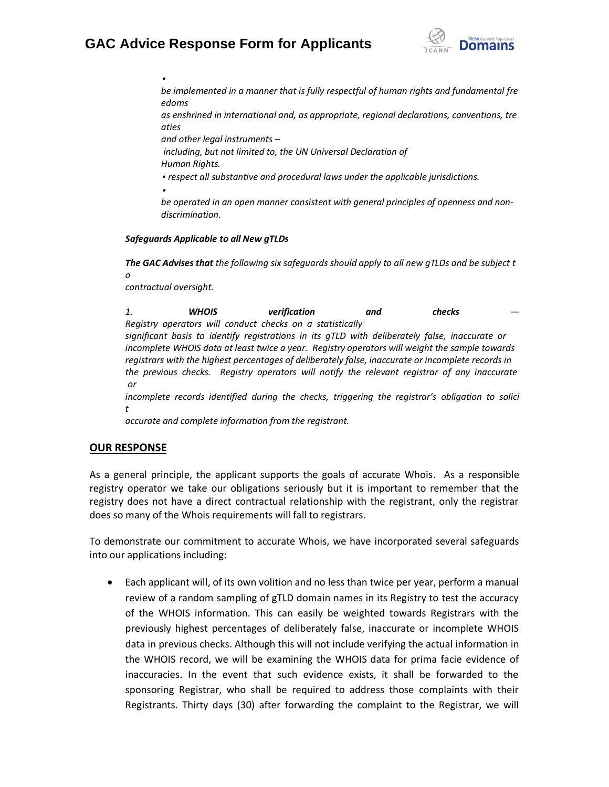

*be implemented in a manner that is fully respectful of human rights and fundamental fre edoms*

*as enshrined in international and, as appropriate, regional declarations, conventions, tre aties*

*and other legal instruments –*

*including, but not limited to, the UN Universal Declaration of Human Rights.*

• *respect all substantive and procedural laws under the applicable jurisdictions.*

•

•

*be operated in an open manner consistent with general principles of openness and nondiscrimination.*

### *Safeguards Applicable to all New gTLDs*

*The GAC Advises that the following six safeguards should apply to all new gTLDs and be subject t o*

*contractual oversight.*

*1. WHOIS verification and checks — Registry operators will conduct checks on a statistically significant basis to identify registrations in its gTLD with deliberately false, inaccurate or incomplete WHOIS data at least twice a year. Registry operators will weight the sample towards registrars with the highest percentages of deliberately false, inaccurate or incomplete records in the previous checks. Registry operators will notify the relevant registrar of any inaccurate or incomplete records identified during the checks, triggering the registrar's obligation to solici t*

*accurate and complete information from the registrant.*

### **OUR RESPONSE**

As a general principle, the applicant supports the goals of accurate Whois. As a responsible registry operator we take our obligations seriously but it is important to remember that the registry does not have a direct contractual relationship with the registrant, only the registrar does so many of the Whois requirements will fall to registrars.

To demonstrate our commitment to accurate Whois, we have incorporated several safeguards into our applications including:

 Each applicant will, of its own volition and no less than twice per year, perform a manual review of a random sampling of gTLD domain names in its Registry to test the accuracy of the WHOIS information. This can easily be weighted towards Registrars with the previously highest percentages of deliberately false, inaccurate or incomplete WHOIS data in previous checks. Although this will not include verifying the actual information in the WHOIS record, we will be examining the WHOIS data for prima facie evidence of inaccuracies. In the event that such evidence exists, it shall be forwarded to the sponsoring Registrar, who shall be required to address those complaints with their Registrants. Thirty days (30) after forwarding the complaint to the Registrar, we will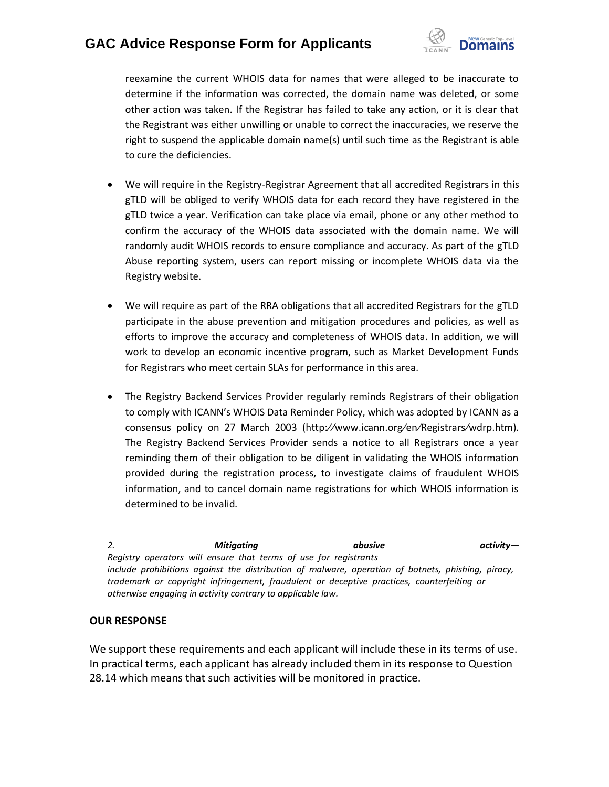

reexamine the current WHOIS data for names that were alleged to be inaccurate to determine if the information was corrected, the domain name was deleted, or some other action was taken. If the Registrar has failed to take any action, or it is clear that the Registrant was either unwilling or unable to correct the inaccuracies, we reserve the right to suspend the applicable domain name(s) until such time as the Registrant is able to cure the deficiencies.

- We will require in the Registry-Registrar Agreement that all accredited Registrars in this gTLD will be obliged to verify WHOIS data for each record they have registered in the gTLD twice a year. Verification can take place via email, phone or any other method to confirm the accuracy of the WHOIS data associated with the domain name. We will randomly audit WHOIS records to ensure compliance and accuracy. As part of the gTLD Abuse reporting system, users can report missing or incomplete WHOIS data via the Registry website.
- We will require as part of the RRA obligations that all accredited Registrars for the gTLD participate in the abuse prevention and mitigation procedures and policies, as well as efforts to improve the accuracy and completeness of WHOIS data. In addition, we will work to develop an economic incentive program, such as Market Development Funds for Registrars who meet certain SLAs for performance in this area.
- The Registry Backend Services Provider regularly reminds Registrars of their obligation to comply with ICANN's WHOIS Data Reminder Policy, which was adopted by ICANN as a consensus policy on 27 March 2003 (http:⁄⁄www.icann.org⁄en⁄Registrars⁄wdrp.htm). The Registry Backend Services Provider sends a notice to all Registrars once a year reminding them of their obligation to be diligent in validating the WHOIS information provided during the registration process, to investigate claims of fraudulent WHOIS information, and to cancel domain name registrations for which WHOIS information is determined to be invalid.

*2. Mitigating abusive activity— Registry operators will ensure that terms of use for registrants include prohibitions against the distribution of malware, operation of botnets, phishing, piracy, trademark or copyright infringement, fraudulent or deceptive practices, counterfeiting or otherwise engaging in activity contrary to applicable law.*

### **OUR RESPONSE**

We support these requirements and each applicant will include these in its terms of use. In practical terms, each applicant has already included them in its response to Question 28.14 which means that such activities will be monitored in practice.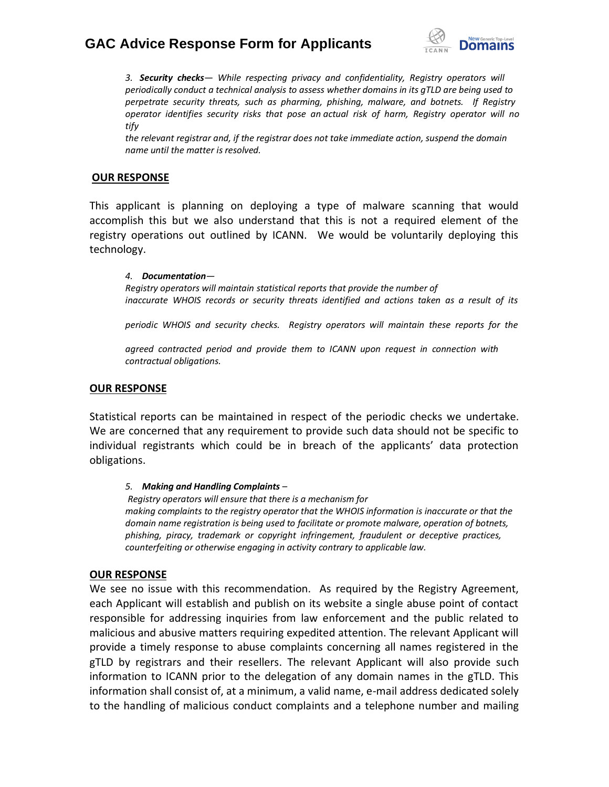

*3. Security checks— While respecting privacy and confidentiality, Registry operators will periodically conduct a technical analysis to assess whether domains in its gTLD are being used to perpetrate security threats, such as pharming, phishing, malware, and botnets. If Registry operator identifies security risks that pose an actual risk of harm, Registry operator will no tify*

*the relevant registrar and, if the registrar does not take immediate action, suspend the domain name until the matter is resolved.*

### **OUR RESPONSE**

This applicant is planning on deploying a type of malware scanning that would accomplish this but we also understand that this is not a required element of the registry operations out outlined by ICANN. We would be voluntarily deploying this technology.

*4. Documentation— Registry operators will maintain statistical reports that provide the number of inaccurate WHOIS records or security threats identified and actions taken as a result of its*

*periodic WHOIS and security checks. Registry operators will maintain these reports for the*

*agreed contracted period and provide them to ICANN upon request in connection with contractual obligations.*

### **OUR RESPONSE**

Statistical reports can be maintained in respect of the periodic checks we undertake. We are concerned that any requirement to provide such data should not be specific to individual registrants which could be in breach of the applicants' data protection obligations.

### *5. Making and Handling Complaints –*

*Registry operators will ensure that there is a mechanism for making complaints to the registry operator that the WHOIS information is inaccurate or that the domain name registration is being used to facilitate or promote malware, operation of botnets, phishing, piracy, trademark or copyright infringement, fraudulent or deceptive practices, counterfeiting or otherwise engaging in activity contrary to applicable law.*

### **OUR RESPONSE**

We see no issue with this recommendation. As required by the Registry Agreement, each Applicant will establish and publish on its website a single abuse point of contact responsible for addressing inquiries from law enforcement and the public related to malicious and abusive matters requiring expedited attention. The relevant Applicant will provide a timely response to abuse complaints concerning all names registered in the gTLD by registrars and their resellers. The relevant Applicant will also provide such information to ICANN prior to the delegation of any domain names in the gTLD. This information shall consist of, at a minimum, a valid name, e-mail address dedicated solely to the handling of malicious conduct complaints and a telephone number and mailing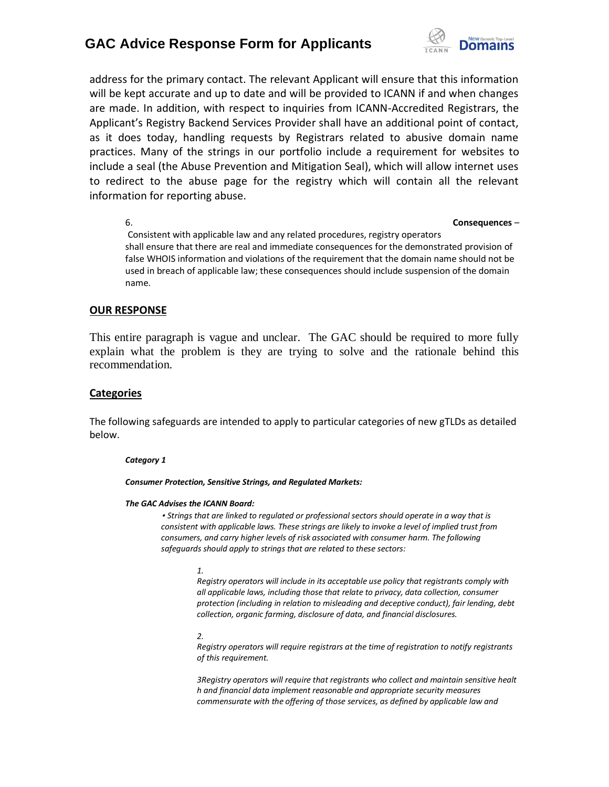

address for the primary contact. The relevant Applicant will ensure that this information will be kept accurate and up to date and will be provided to ICANN if and when changes are made. In addition, with respect to inquiries from ICANN-Accredited Registrars, the Applicant's Registry Backend Services Provider shall have an additional point of contact, as it does today, handling requests by Registrars related to abusive domain name practices. Many of the strings in our portfolio include a requirement for websites to include a seal (the Abuse Prevention and Mitigation Seal), which will allow internet uses to redirect to the abuse page for the registry which will contain all the relevant information for reporting abuse.

#### 6. **Consequences** –

Consistent with applicable law and any related procedures, registry operators shall ensure that there are real and immediate consequences for the demonstrated provision of false WHOIS information and violations of the requirement that the domain name should not be used in breach of applicable law; these consequences should include suspension of the domain name.

### **OUR RESPONSE**

This entire paragraph is vague and unclear. The GAC should be required to more fully explain what the problem is they are trying to solve and the rationale behind this recommendation.

#### **Categories**

The following safeguards are intended to apply to particular categories of new gTLDs as detailed below.

#### *Category 1*

*Consumer Protection, Sensitive Strings, and Regulated Markets:*

#### *The GAC Advises the ICANN Board:*

• *Strings that are linked to regulated or professional sectors should operate in a way that is consistent with applicable laws. These strings are likely to invoke a level of implied trust from consumers, and carry higher levels of risk associated with consumer harm. The following safeguards should apply to strings that are related to these sectors:*

#### *1.*

*Registry operators will include in its acceptable use policy that registrants comply with all applicable laws, including those that relate to privacy, data collection, consumer protection (including in relation to misleading and deceptive conduct), fair lending, debt collection, organic farming, disclosure of data, and financial disclosures.*

#### *2.*

*Registry operators will require registrars at the time of registration to notify registrants of this requirement.*

*3Registry operators will require that registrants who collect and maintain sensitive healt h and financial data implement reasonable and appropriate security measures commensurate with the offering of those services, as defined by applicable law and*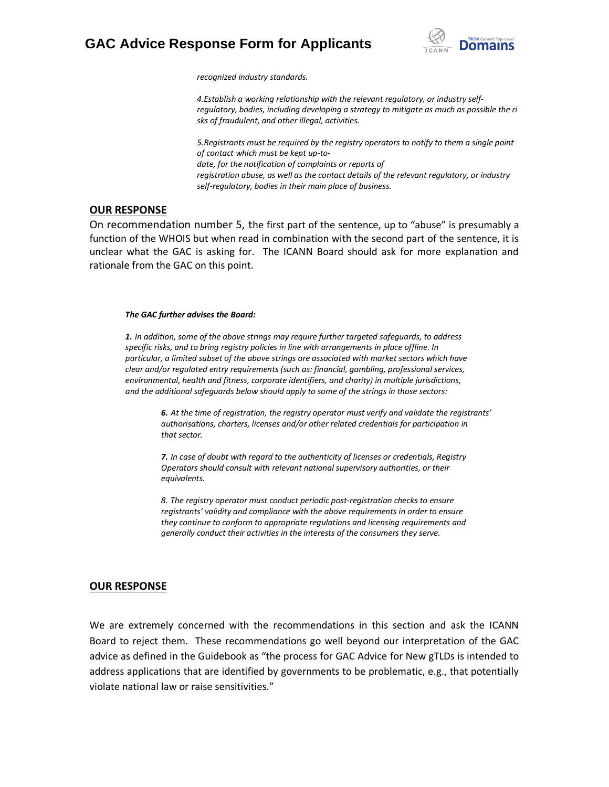

*recognized industry standards.*

*4.Establish a working relationship with the relevant regulatory, or industry selfregulatory, bodies, including developing a strategy to mitigate as much as possible the ri sks of fraudulent, and other illegal, activities.*

*5.Registrants must be required by the registry operators to notify to them a single point of contact which must be kept up-todate, for the notification of complaints or reports of registration abuse, as well as the contact details of the relevant regulatory, or industry self-regulatory, bodies in their main place of business.*

### **OUR RESPONSE**

On recommendation number 5, the first part of the sentence, up to "abuse" is presumably a function of the WHOIS but when read in combination with the second part of the sentence, it is unclear what the GAC is asking for. The ICANN Board should ask for more explanation and rationale from the GAC on this point.

#### *The GAC further advises the Board:*

*1. In addition, some of the above strings may require further targeted safeguards, to address specific risks, and to bring registry policies in line with arrangements in place offline. In particular, a limited subset of the above strings are associated with market sectors which have clear and/or regulated entry requirements (such as: financial, gambling, professional services, environmental, health and fitness, corporate identifiers, and charity) in multiple jurisdictions, and the additional safeguards below should apply to some of the strings in those sectors:*

> *6. At the time of registration, the registry operator must verify and validate the registrants' authorisations, charters, licenses and/or other related credentials for participation in that sector.*

*7. In case of doubt with regard to the authenticity of licenses or credentials, Registry Operators should consult with relevant national supervisory authorities, or their equivalents.*

*8. The registry operator must conduct periodic post-registration checks to ensure registrants' validity and compliance with the above requirements in order to ensure they continue to conform to appropriate regulations and licensing requirements and generally conduct their activities in the interests of the consumers they serve.*

#### **OUR RESPONSE**

We are extremely concerned with the recommendations in this section and ask the ICANN Board to reject them. These recommendations go well beyond our interpretation of the GAC advice as defined in the Guidebook as "the process for GAC Advice for New gTLDs is intended to address applications that are identified by governments to be problematic, e.g., that potentially violate national law or raise sensitivities."